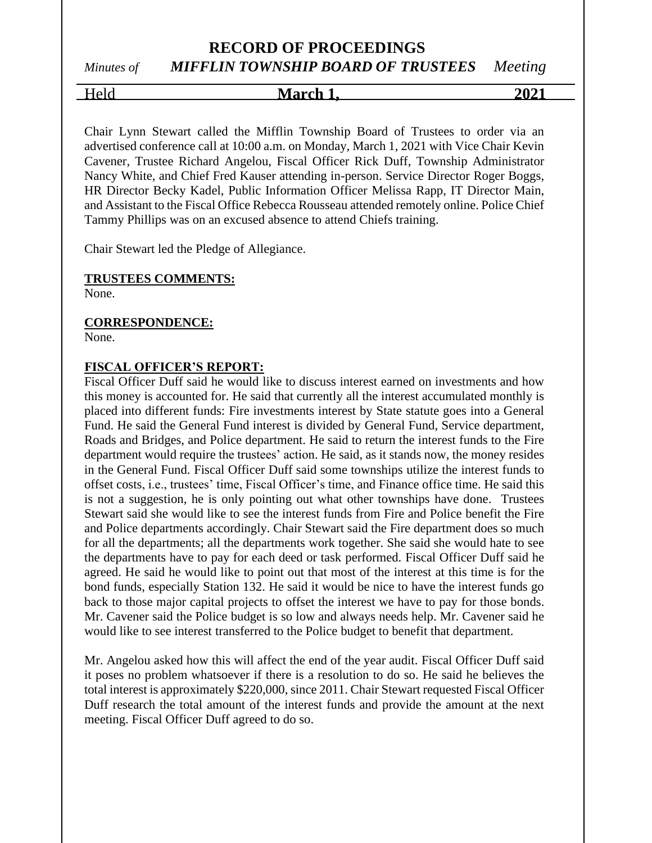# **RECORD OF PROCEEDINGS** *Minutes of MIFFLIN TOWNSHIP BOARD OF TRUSTEES Meeting*

Held **March 1, 2021**

Chair Lynn Stewart called the Mifflin Township Board of Trustees to order via an advertised conference call at 10:00 a.m. on Monday, March 1, 2021 with Vice Chair Kevin Cavener, Trustee Richard Angelou, Fiscal Officer Rick Duff, Township Administrator Nancy White, and Chief Fred Kauser attending in-person. Service Director Roger Boggs, HR Director Becky Kadel, Public Information Officer Melissa Rapp, IT Director Main, and Assistant to the Fiscal Office Rebecca Rousseau attended remotely online. Police Chief Tammy Phillips was on an excused absence to attend Chiefs training.

Chair Stewart led the Pledge of Allegiance.

#### **TRUSTEES COMMENTS:**

None.

#### **CORRESPONDENCE:**

None.

#### **FISCAL OFFICER'S REPORT:**

Fiscal Officer Duff said he would like to discuss interest earned on investments and how this money is accounted for. He said that currently all the interest accumulated monthly is placed into different funds: Fire investments interest by State statute goes into a General Fund. He said the General Fund interest is divided by General Fund, Service department, Roads and Bridges, and Police department. He said to return the interest funds to the Fire department would require the trustees' action. He said, as it stands now, the money resides in the General Fund. Fiscal Officer Duff said some townships utilize the interest funds to offset costs, i.e., trustees' time, Fiscal Officer's time, and Finance office time. He said this is not a suggestion, he is only pointing out what other townships have done. Trustees Stewart said she would like to see the interest funds from Fire and Police benefit the Fire and Police departments accordingly. Chair Stewart said the Fire department does so much for all the departments; all the departments work together. She said she would hate to see the departments have to pay for each deed or task performed. Fiscal Officer Duff said he agreed. He said he would like to point out that most of the interest at this time is for the bond funds, especially Station 132. He said it would be nice to have the interest funds go back to those major capital projects to offset the interest we have to pay for those bonds. Mr. Cavener said the Police budget is so low and always needs help. Mr. Cavener said he would like to see interest transferred to the Police budget to benefit that department.

Mr. Angelou asked how this will affect the end of the year audit. Fiscal Officer Duff said it poses no problem whatsoever if there is a resolution to do so. He said he believes the total interest is approximately \$220,000, since 2011. Chair Stewart requested Fiscal Officer Duff research the total amount of the interest funds and provide the amount at the next meeting. Fiscal Officer Duff agreed to do so.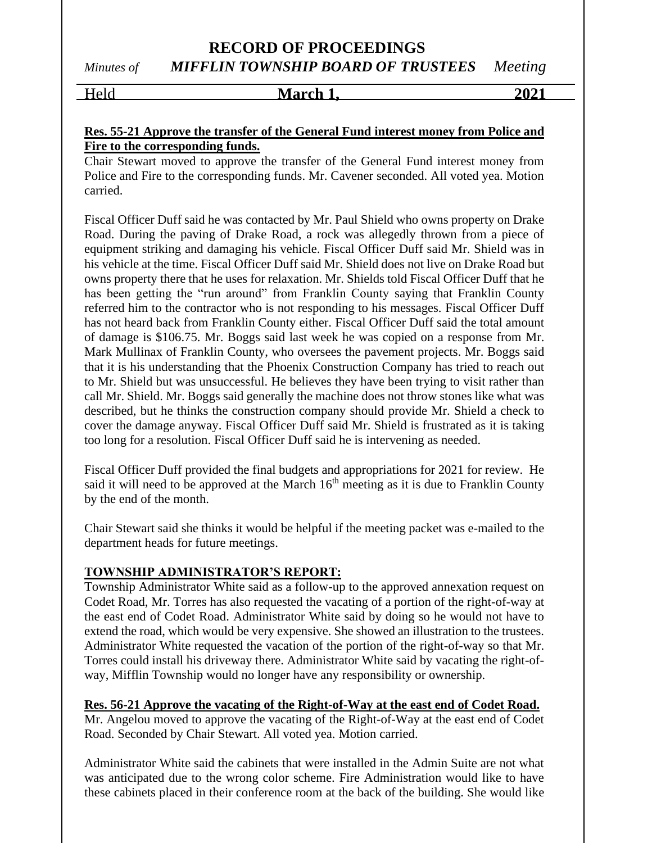# **RECORD OF PROCEEDINGS** *Minutes of MIFFLIN TOWNSHIP BOARD OF TRUSTEES Meeting*

Held **March 1, 2021**

# **Res. 55-21 Approve the transfer of the General Fund interest money from Police and Fire to the corresponding funds.**

Chair Stewart moved to approve the transfer of the General Fund interest money from Police and Fire to the corresponding funds. Mr. Cavener seconded. All voted yea. Motion carried.

Fiscal Officer Duff said he was contacted by Mr. Paul Shield who owns property on Drake Road. During the paving of Drake Road, a rock was allegedly thrown from a piece of equipment striking and damaging his vehicle. Fiscal Officer Duff said Mr. Shield was in his vehicle at the time. Fiscal Officer Duff said Mr. Shield does not live on Drake Road but owns property there that he uses for relaxation. Mr. Shields told Fiscal Officer Duff that he has been getting the "run around" from Franklin County saying that Franklin County referred him to the contractor who is not responding to his messages. Fiscal Officer Duff has not heard back from Franklin County either. Fiscal Officer Duff said the total amount of damage is \$106.75. Mr. Boggs said last week he was copied on a response from Mr. Mark Mullinax of Franklin County, who oversees the pavement projects. Mr. Boggs said that it is his understanding that the Phoenix Construction Company has tried to reach out to Mr. Shield but was unsuccessful. He believes they have been trying to visit rather than call Mr. Shield. Mr. Boggs said generally the machine does not throw stones like what was described, but he thinks the construction company should provide Mr. Shield a check to cover the damage anyway. Fiscal Officer Duff said Mr. Shield is frustrated as it is taking too long for a resolution. Fiscal Officer Duff said he is intervening as needed.

Fiscal Officer Duff provided the final budgets and appropriations for 2021 for review. He said it will need to be approved at the March  $16<sup>th</sup>$  meeting as it is due to Franklin County by the end of the month.

Chair Stewart said she thinks it would be helpful if the meeting packet was e-mailed to the department heads for future meetings.

# **TOWNSHIP ADMINISTRATOR'S REPORT:**

Township Administrator White said as a follow-up to the approved annexation request on Codet Road, Mr. Torres has also requested the vacating of a portion of the right-of-way at the east end of Codet Road. Administrator White said by doing so he would not have to extend the road, which would be very expensive. She showed an illustration to the trustees. Administrator White requested the vacation of the portion of the right-of-way so that Mr. Torres could install his driveway there. Administrator White said by vacating the right-ofway, Mifflin Township would no longer have any responsibility or ownership.

**Res. 56-21 Approve the vacating of the Right-of-Way at the east end of Codet Road.** Mr. Angelou moved to approve the vacating of the Right-of-Way at the east end of Codet Road. Seconded by Chair Stewart. All voted yea. Motion carried.

Administrator White said the cabinets that were installed in the Admin Suite are not what was anticipated due to the wrong color scheme. Fire Administration would like to have these cabinets placed in their conference room at the back of the building. She would like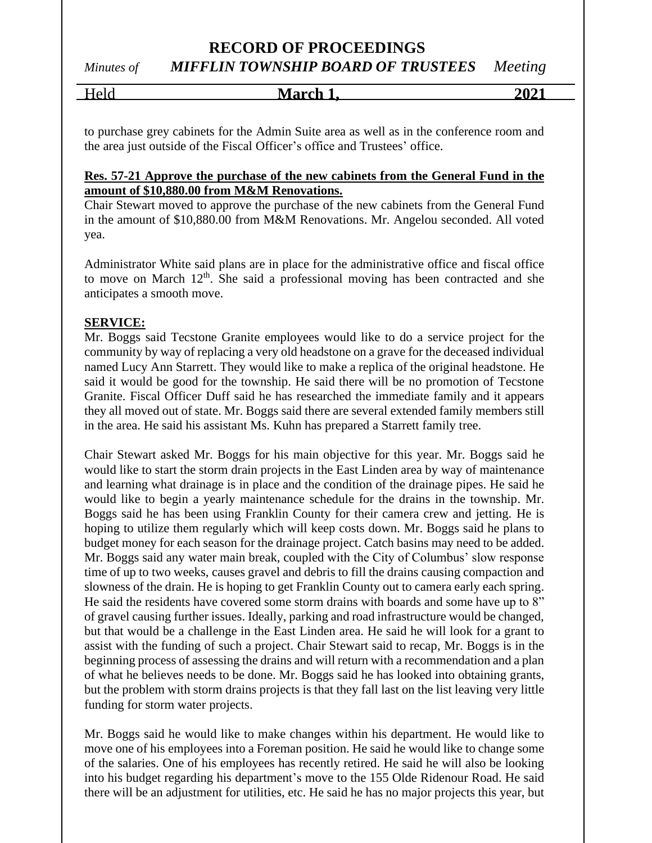*Minutes of MIFFLIN TOWNSHIP BOARD OF TRUSTEES Meeting*

| $ -$<br>______<br>_ | --<br>March 1. | $\sim$<br>7Н. |
|---------------------|----------------|---------------|
|                     |                |               |

to purchase grey cabinets for the Admin Suite area as well as in the conference room and the area just outside of the Fiscal Officer's office and Trustees' office.

## **Res. 57-21 Approve the purchase of the new cabinets from the General Fund in the amount of \$10,880.00 from M&M Renovations.**

Chair Stewart moved to approve the purchase of the new cabinets from the General Fund in the amount of \$10,880.00 from M&M Renovations. Mr. Angelou seconded. All voted yea.

Administrator White said plans are in place for the administrative office and fiscal office to move on March  $12<sup>th</sup>$ . She said a professional moving has been contracted and she anticipates a smooth move.

# **SERVICE:**

Mr. Boggs said Tecstone Granite employees would like to do a service project for the community by way of replacing a very old headstone on a grave for the deceased individual named Lucy Ann Starrett. They would like to make a replica of the original headstone. He said it would be good for the township. He said there will be no promotion of Tecstone Granite. Fiscal Officer Duff said he has researched the immediate family and it appears they all moved out of state. Mr. Boggs said there are several extended family members still in the area. He said his assistant Ms. Kuhn has prepared a Starrett family tree.

Chair Stewart asked Mr. Boggs for his main objective for this year. Mr. Boggs said he would like to start the storm drain projects in the East Linden area by way of maintenance and learning what drainage is in place and the condition of the drainage pipes. He said he would like to begin a yearly maintenance schedule for the drains in the township. Mr. Boggs said he has been using Franklin County for their camera crew and jetting. He is hoping to utilize them regularly which will keep costs down. Mr. Boggs said he plans to budget money for each season for the drainage project. Catch basins may need to be added. Mr. Boggs said any water main break, coupled with the City of Columbus' slow response time of up to two weeks, causes gravel and debris to fill the drains causing compaction and slowness of the drain. He is hoping to get Franklin County out to camera early each spring. He said the residents have covered some storm drains with boards and some have up to 8" of gravel causing further issues. Ideally, parking and road infrastructure would be changed, but that would be a challenge in the East Linden area. He said he will look for a grant to assist with the funding of such a project. Chair Stewart said to recap, Mr. Boggs is in the beginning process of assessing the drains and will return with a recommendation and a plan of what he believes needs to be done. Mr. Boggs said he has looked into obtaining grants, but the problem with storm drains projects is that they fall last on the list leaving very little funding for storm water projects.

Mr. Boggs said he would like to make changes within his department. He would like to move one of his employees into a Foreman position. He said he would like to change some of the salaries. One of his employees has recently retired. He said he will also be looking into his budget regarding his department's move to the 155 Olde Ridenour Road. He said there will be an adjustment for utilities, etc. He said he has no major projects this year, but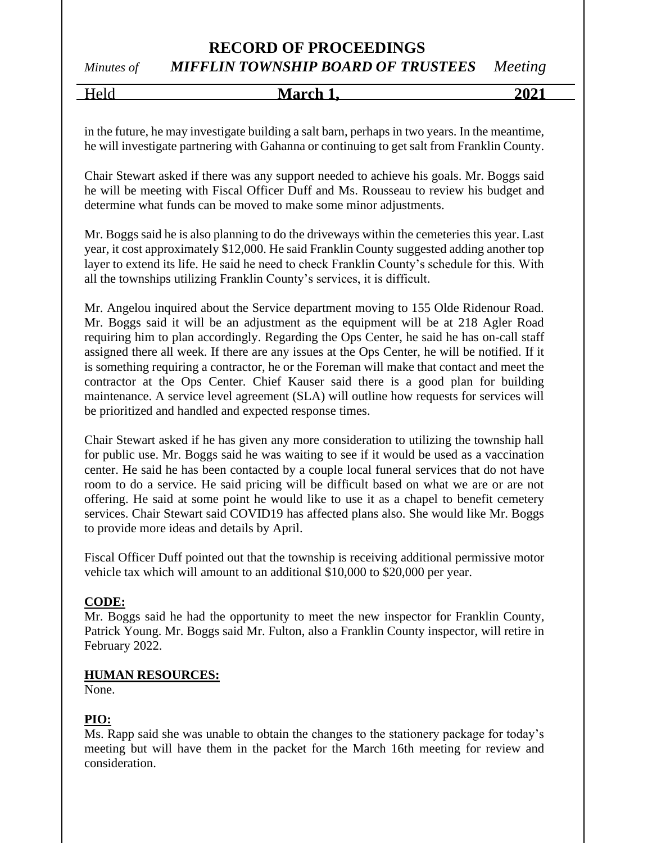# *Minutes of MIFFLIN TOWNSHIP BOARD OF TRUSTEES Meeting*

Held **March 1, 2021**

in the future, he may investigate building a salt barn, perhaps in two years. In the meantime, he will investigate partnering with Gahanna or continuing to get salt from Franklin County.

Chair Stewart asked if there was any support needed to achieve his goals. Mr. Boggs said he will be meeting with Fiscal Officer Duff and Ms. Rousseau to review his budget and determine what funds can be moved to make some minor adjustments.

Mr. Boggs said he is also planning to do the driveways within the cemeteries this year. Last year, it cost approximately \$12,000. He said Franklin County suggested adding another top layer to extend its life. He said he need to check Franklin County's schedule for this. With all the townships utilizing Franklin County's services, it is difficult.

Mr. Angelou inquired about the Service department moving to 155 Olde Ridenour Road. Mr. Boggs said it will be an adjustment as the equipment will be at 218 Agler Road requiring him to plan accordingly. Regarding the Ops Center, he said he has on-call staff assigned there all week. If there are any issues at the Ops Center, he will be notified. If it is something requiring a contractor, he or the Foreman will make that contact and meet the contractor at the Ops Center. Chief Kauser said there is a good plan for building maintenance. A service level agreement (SLA) will outline how requests for services will be prioritized and handled and expected response times.

Chair Stewart asked if he has given any more consideration to utilizing the township hall for public use. Mr. Boggs said he was waiting to see if it would be used as a vaccination center. He said he has been contacted by a couple local funeral services that do not have room to do a service. He said pricing will be difficult based on what we are or are not offering. He said at some point he would like to use it as a chapel to benefit cemetery services. Chair Stewart said COVID19 has affected plans also. She would like Mr. Boggs to provide more ideas and details by April.

Fiscal Officer Duff pointed out that the township is receiving additional permissive motor vehicle tax which will amount to an additional \$10,000 to \$20,000 per year.

## **CODE:**

Mr. Boggs said he had the opportunity to meet the new inspector for Franklin County, Patrick Young. Mr. Boggs said Mr. Fulton, also a Franklin County inspector, will retire in February 2022.

## **HUMAN RESOURCES:**

None.

# **PIO:**

Ms. Rapp said she was unable to obtain the changes to the stationery package for today's meeting but will have them in the packet for the March 16th meeting for review and consideration.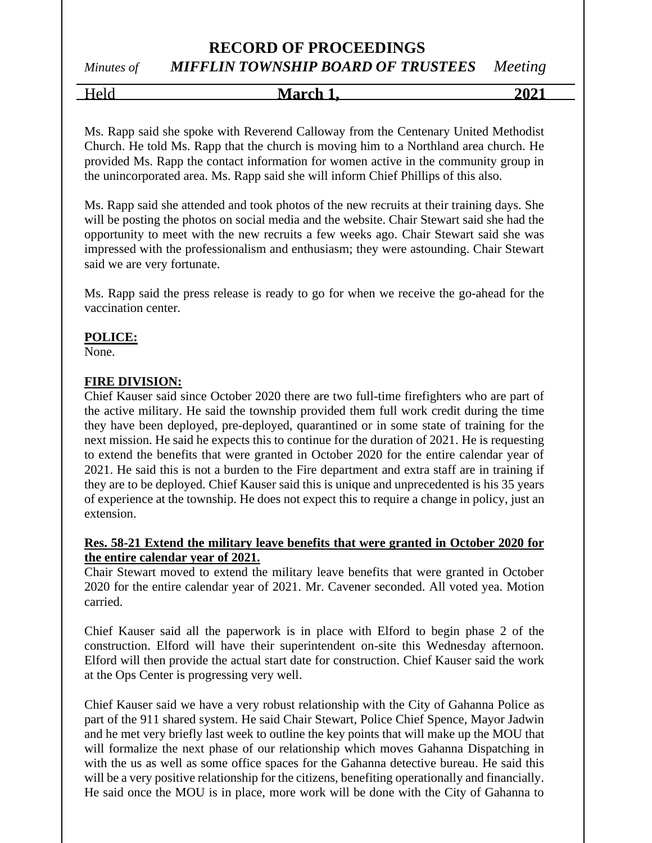*Minutes of MIFFLIN TOWNSHIP BOARD OF TRUSTEES Meeting*

Held **March 1, 2021**

Ms. Rapp said she spoke with Reverend Calloway from the Centenary United Methodist Church. He told Ms. Rapp that the church is moving him to a Northland area church. He provided Ms. Rapp the contact information for women active in the community group in the unincorporated area. Ms. Rapp said she will inform Chief Phillips of this also.

Ms. Rapp said she attended and took photos of the new recruits at their training days. She will be posting the photos on social media and the website. Chair Stewart said she had the opportunity to meet with the new recruits a few weeks ago. Chair Stewart said she was impressed with the professionalism and enthusiasm; they were astounding. Chair Stewart said we are very fortunate.

Ms. Rapp said the press release is ready to go for when we receive the go-ahead for the vaccination center.

# **POLICE:**

None.

# **FIRE DIVISION:**

Chief Kauser said since October 2020 there are two full-time firefighters who are part of the active military. He said the township provided them full work credit during the time they have been deployed, pre-deployed, quarantined or in some state of training for the next mission. He said he expects this to continue for the duration of 2021. He is requesting to extend the benefits that were granted in October 2020 for the entire calendar year of 2021. He said this is not a burden to the Fire department and extra staff are in training if they are to be deployed. Chief Kauser said this is unique and unprecedented is his 35 years of experience at the township. He does not expect this to require a change in policy, just an extension.

# **Res. 58-21 Extend the military leave benefits that were granted in October 2020 for the entire calendar year of 2021.**

Chair Stewart moved to extend the military leave benefits that were granted in October 2020 for the entire calendar year of 2021. Mr. Cavener seconded. All voted yea. Motion carried.

Chief Kauser said all the paperwork is in place with Elford to begin phase 2 of the construction. Elford will have their superintendent on-site this Wednesday afternoon. Elford will then provide the actual start date for construction. Chief Kauser said the work at the Ops Center is progressing very well.

Chief Kauser said we have a very robust relationship with the City of Gahanna Police as part of the 911 shared system. He said Chair Stewart, Police Chief Spence, Mayor Jadwin and he met very briefly last week to outline the key points that will make up the MOU that will formalize the next phase of our relationship which moves Gahanna Dispatching in with the us as well as some office spaces for the Gahanna detective bureau. He said this will be a very positive relationship for the citizens, benefiting operationally and financially. He said once the MOU is in place, more work will be done with the City of Gahanna to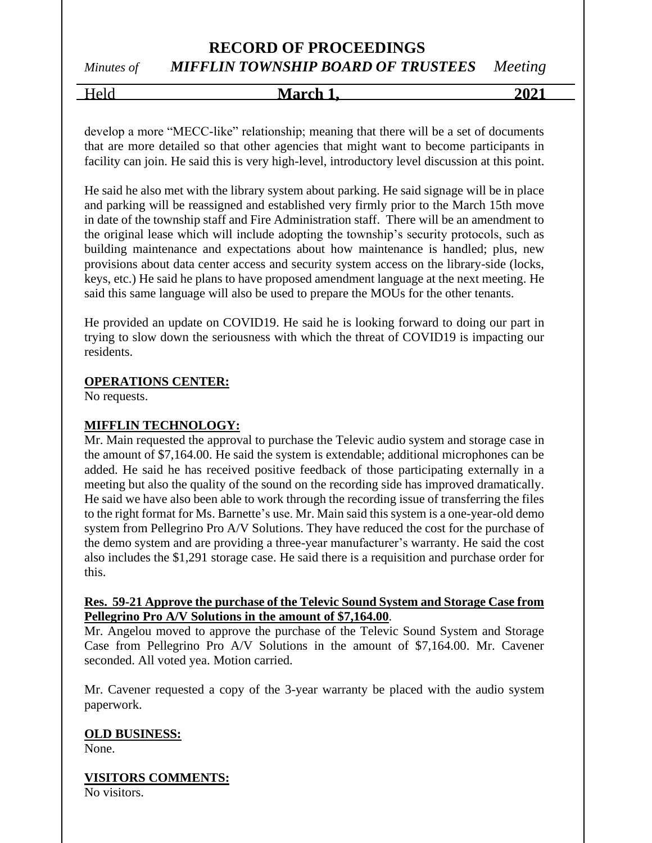# *Minutes of MIFFLIN TOWNSHIP BOARD OF TRUSTEES Meeting*

Held **March 1, 2021**

develop a more "MECC-like" relationship; meaning that there will be a set of documents that are more detailed so that other agencies that might want to become participants in facility can join. He said this is very high-level, introductory level discussion at this point.

He said he also met with the library system about parking. He said signage will be in place and parking will be reassigned and established very firmly prior to the March 15th move in date of the township staff and Fire Administration staff. There will be an amendment to the original lease which will include adopting the township's security protocols, such as building maintenance and expectations about how maintenance is handled; plus, new provisions about data center access and security system access on the library-side (locks, keys, etc.) He said he plans to have proposed amendment language at the next meeting. He said this same language will also be used to prepare the MOUs for the other tenants.

He provided an update on COVID19. He said he is looking forward to doing our part in trying to slow down the seriousness with which the threat of COVID19 is impacting our residents.

# **OPERATIONS CENTER:**

No requests.

# **MIFFLIN TECHNOLOGY:**

Mr. Main requested the approval to purchase the Televic audio system and storage case in the amount of \$7,164.00. He said the system is extendable; additional microphones can be added. He said he has received positive feedback of those participating externally in a meeting but also the quality of the sound on the recording side has improved dramatically. He said we have also been able to work through the recording issue of transferring the files to the right format for Ms. Barnette's use. Mr. Main said this system is a one-year-old demo system from Pellegrino Pro A/V Solutions. They have reduced the cost for the purchase of the demo system and are providing a three-year manufacturer's warranty. He said the cost also includes the \$1,291 storage case. He said there is a requisition and purchase order for this.

## **Res. 59-21 Approve the purchase of the Televic Sound System and Storage Case from Pellegrino Pro A/V Solutions in the amount of \$7,164.00**.

Mr. Angelou moved to approve the purchase of the Televic Sound System and Storage Case from Pellegrino Pro A/V Solutions in the amount of \$7,164.00. Mr. Cavener seconded. All voted yea. Motion carried.

Mr. Cavener requested a copy of the 3-year warranty be placed with the audio system paperwork.

## **OLD BUSINESS:**

None.

# **VISITORS COMMENTS:**

No visitors.